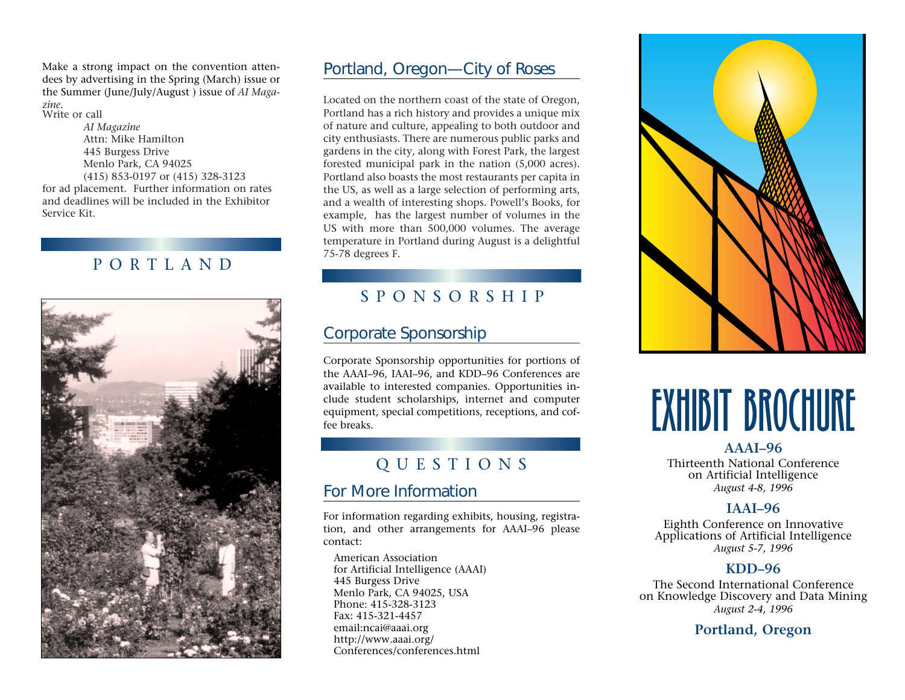Make a strong impact on the convention attendees by advertising in the Spring (March) issue or the Summer (June/July/August ) issue of *AI Magazine.* Write or call

*AI Magazine* Attn: Mike Hamilton 445 Burgess Drive Menlo Park, CA 94025 (415) 853-0197 or (415) 328-3123 for ad placement. Further information on rates and deadlines will be included in the Exhibitor Service Kit.

## PORTLAND



#### Portland, Oregon—City of Roses

Located on the northern coast of the state of Oregon, Portland has a rich history and provides a unique mix of nature and culture, appealing to both outdoor and city enthusiasts. There are numerous public parks and gardens in the city, along with Forest Park, the largest forested municipal park in the nation (5,000 acres). Portland also boasts the most restaurants per capita in the US, as well as a large selection of performing arts, and a wealth of interesting shops. Powell's Books, for example, has the largest number of volumes in the US with more than 500,000 volumes. The average temperature in Portland during August is a delightful 75-78 degrees F.

# SPONSORSHIP

# Corporate Sponsorship

Corporate Sponsorship opportunities for portions of the AAAI–96, IAAI–96, and KDD–96 Conferences are available to interested companies. Opportunities include student scholarships, internet and computer equipment, special competitions, receptions, and coffee breaks.

# QUESTIONS

#### For More Information

For information regarding exhibits, housing, registration, and other arrangements for AAAI–96 please contact:

American Association for Artificial Intelligence (AAAI) 445 Burgess Drive Menlo Park, CA 94025, USA Phone: 415-328-3123 Fax: 415-321-4457 email:ncai@aaai.org http://www.aaai.org/ Conferences/conferences.html



# EXHIBIT BROCHURE

**AAAI–96**

Thirteenth National Conference on Artificial Intelligence *August 4-8, 1996*

#### **IAAI–96**

Eighth Conference on Innovative Applications of Artificial Intelligence *August 5-7, 1996*

#### **KDD–96**

The Second International Conference on Knowledge Discovery and Data Mining *August 2-4, 1996*

**Portland, Oregon**